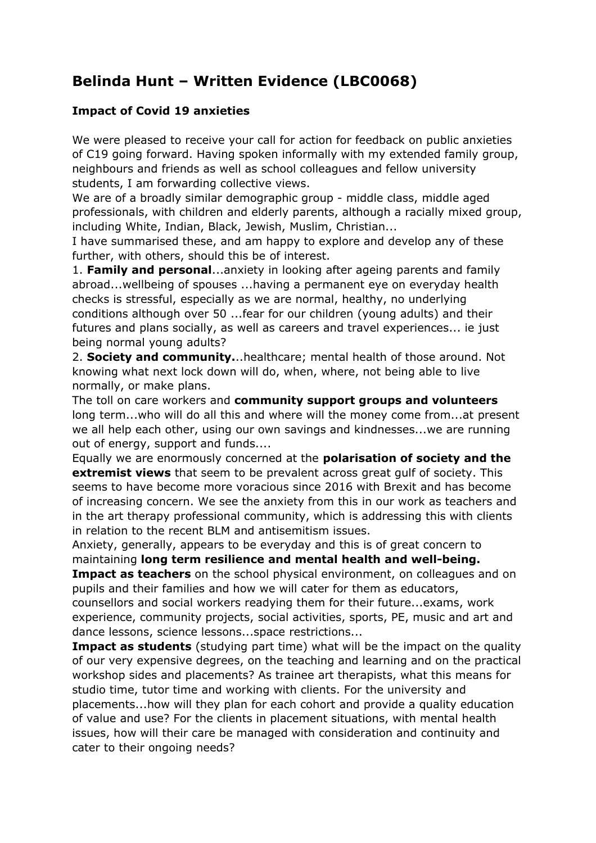## **Belinda Hunt – Written Evidence (LBC0068)**

## **Impact of Covid 19 anxieties**

We were pleased to receive your call for action for feedback on public anxieties of C19 going forward. Having spoken informally with my extended family group, neighbours and friends as well as school colleagues and fellow university students, I am forwarding collective views.

We are of a broadly similar demographic group - middle class, middle aged professionals, with children and elderly parents, although a racially mixed group, including White, Indian, Black, Jewish, Muslim, Christian...

I have summarised these, and am happy to explore and develop any of these further, with others, should this be of interest.

1. **Family and personal**...anxiety in looking after ageing parents and family abroad...wellbeing of spouses ...having a permanent eye on everyday health checks is stressful, especially as we are normal, healthy, no underlying conditions although over 50 ...fear for our children (young adults) and their futures and plans socially, as well as careers and travel experiences... ie just being normal young adults?

2. **Society and community.**..healthcare; mental health of those around. Not knowing what next lock down will do, when, where, not being able to live normally, or make plans.

The toll on care workers and **community support groups and volunteers** long term...who will do all this and where will the money come from...at present we all help each other, using our own savings and kindnesses...we are running out of energy, support and funds....

Equally we are enormously concerned at the **polarisation of society and the extremist views** that seem to be prevalent across great gulf of society. This seems to have become more voracious since 2016 with Brexit and has become of increasing concern. We see the anxiety from this in our work as teachers and in the art therapy professional community, which is addressing this with clients in relation to the recent BLM and antisemitism issues.

Anxiety, generally, appears to be everyday and this is of great concern to maintaining **long term resilience and mental health and well-being. Impact as teachers** on the school physical environment, on colleagues and on

pupils and their families and how we will cater for them as educators, counsellors and social workers readying them for their future...exams, work

experience, community projects, social activities, sports, PE, music and art and dance lessons, science lessons...space restrictions...

**Impact as students** (studying part time) what will be the impact on the quality of our very expensive degrees, on the teaching and learning and on the practical workshop sides and placements? As trainee art therapists, what this means for studio time, tutor time and working with clients. For the university and placements...how will they plan for each cohort and provide a quality education of value and use? For the clients in placement situations, with mental health issues, how will their care be managed with consideration and continuity and cater to their ongoing needs?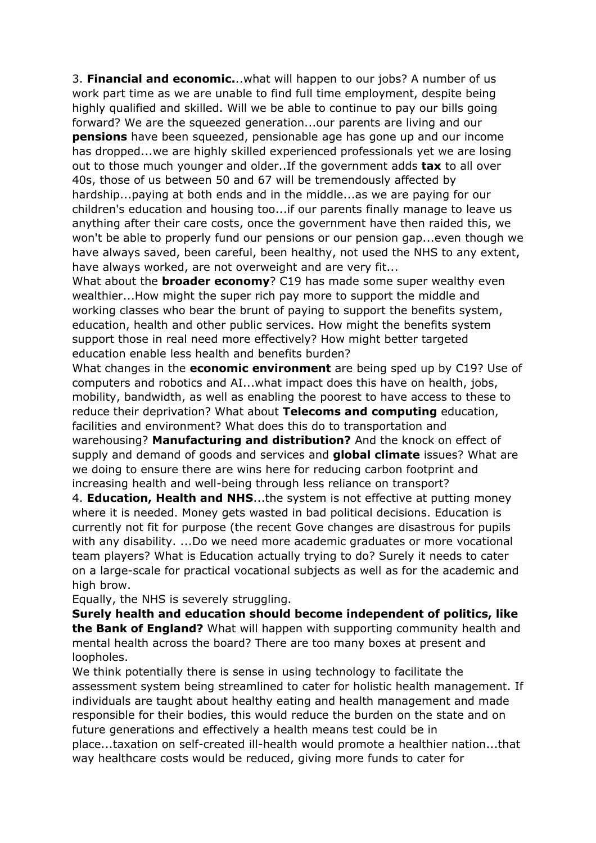3. **Financial and economic.**..what will happen to our jobs? A number of us work part time as we are unable to find full time employment, despite being highly qualified and skilled. Will we be able to continue to pay our bills going forward? We are the squeezed generation...our parents are living and our **pensions** have been squeezed, pensionable age has gone up and our income has dropped...we are highly skilled experienced professionals yet we are losing out to those much younger and older..If the government adds **tax** to all over 40s, those of us between 50 and 67 will be tremendously affected by hardship...paying at both ends and in the middle...as we are paying for our children's education and housing too...if our parents finally manage to leave us anything after their care costs, once the government have then raided this, we won't be able to properly fund our pensions or our pension gap...even though we have always saved, been careful, been healthy, not used the NHS to any extent, have always worked, are not overweight and are very fit...

What about the **broader economy**? C19 has made some super wealthy even wealthier...How might the super rich pay more to support the middle and working classes who bear the brunt of paying to support the benefits system, education, health and other public services. How might the benefits system support those in real need more effectively? How might better targeted education enable less health and benefits burden?

What changes in the **economic environment** are being sped up by C19? Use of computers and robotics and AI...what impact does this have on health, jobs, mobility, bandwidth, as well as enabling the poorest to have access to these to reduce their deprivation? What about **Telecoms and computing** education, facilities and environment? What does this do to transportation and warehousing? **Manufacturing and distribution?** And the knock on effect of supply and demand of goods and services and **global climate** issues? What are we doing to ensure there are wins here for reducing carbon footprint and increasing health and well-being through less reliance on transport?

4. **Education, Health and NHS**...the system is not effective at putting money where it is needed. Money gets wasted in bad political decisions. Education is currently not fit for purpose (the recent Gove changes are disastrous for pupils with any disability. ...Do we need more academic graduates or more vocational team players? What is Education actually trying to do? Surely it needs to cater on a large-scale for practical vocational subjects as well as for the academic and high brow.

Equally, the NHS is severely struggling.

**Surely health and education should become independent of politics, like the Bank of England?** What will happen with supporting community health and mental health across the board? There are too many boxes at present and loopholes.

We think potentially there is sense in using technology to facilitate the assessment system being streamlined to cater for holistic health management. If individuals are taught about healthy eating and health management and made responsible for their bodies, this would reduce the burden on the state and on future generations and effectively a health means test could be in place...taxation on self-created ill-health would promote a healthier nation...that way healthcare costs would be reduced, giving more funds to cater for